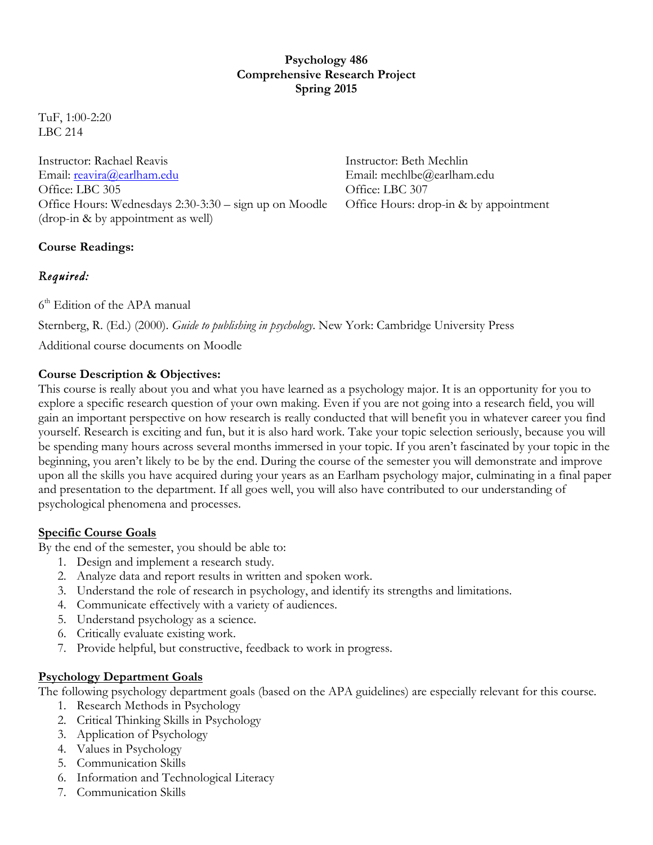### **Psychology 486 Comprehensive Research Project Spring 2015**

TuF, 1:00-2:20 LBC 214

Instructor: Rachael Reavis Instructor: Beth Mechlin Email: reavira@earlham.edu Email: mechlbe@earlham.edu Office: LBC 305 Office: LBC 307 Office Hours: Wednesdays 2:30-3:30 – sign up on Moodle Office Hours: drop-in & by appointment (drop-in & by appointment as well)

# **Course Readings:**

# *Required:*

 $6<sup>th</sup>$  Edition of the APA manual

Sternberg, R. (Ed.) (2000). *Guide to publishing in psychology*. New York: Cambridge University Press

Additional course documents on Moodle

#### **Course Description & Objectives:**

This course is really about you and what you have learned as a psychology major. It is an opportunity for you to explore a specific research question of your own making. Even if you are not going into a research field, you will gain an important perspective on how research is really conducted that will benefit you in whatever career you find yourself. Research is exciting and fun, but it is also hard work. Take your topic selection seriously, because you will be spending many hours across several months immersed in your topic. If you aren't fascinated by your topic in the beginning, you aren't likely to be by the end. During the course of the semester you will demonstrate and improve upon all the skills you have acquired during your years as an Earlham psychology major, culminating in a final paper and presentation to the department. If all goes well, you will also have contributed to our understanding of psychological phenomena and processes.

#### **Specific Course Goals**

By the end of the semester, you should be able to:

- 1. Design and implement a research study.
- 2. Analyze data and report results in written and spoken work.
- 3. Understand the role of research in psychology, and identify its strengths and limitations.
- 4. Communicate effectively with a variety of audiences.
- 5. Understand psychology as a science.
- 6. Critically evaluate existing work.
- 7. Provide helpful, but constructive, feedback to work in progress.

## **Psychology Department Goals**

The following psychology department goals (based on the APA guidelines) are especially relevant for this course.

- 1. Research Methods in Psychology
- 2. Critical Thinking Skills in Psychology
- 3. Application of Psychology
- 4. Values in Psychology
- 5. Communication Skills
- 6. Information and Technological Literacy
- 7. Communication Skills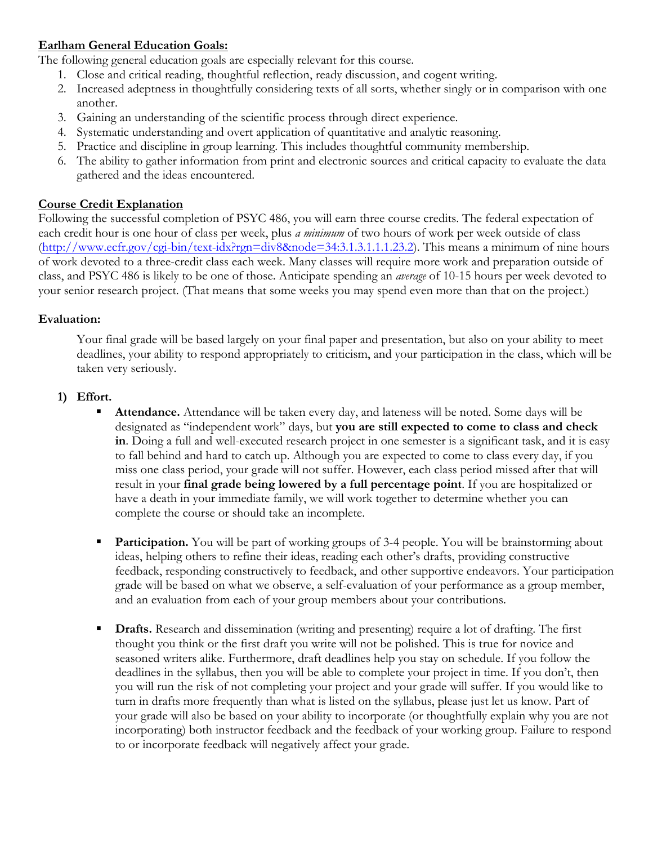## **Earlham General Education Goals:**

The following general education goals are especially relevant for this course.

- 1. Close and critical reading, thoughtful reflection, ready discussion, and cogent writing.
- 2. Increased adeptness in thoughtfully considering texts of all sorts, whether singly or in comparison with one another.
- 3. Gaining an understanding of the scientific process through direct experience.
- 4. Systematic understanding and overt application of quantitative and analytic reasoning.
- 5. Practice and discipline in group learning. This includes thoughtful community membership.
- 6. The ability to gather information from print and electronic sources and critical capacity to evaluate the data gathered and the ideas encountered.

#### **Course Credit Explanation**

Following the successful completion of PSYC 486, you will earn three course credits. The federal expectation of each credit hour is one hour of class per week, plus *a minimum* of two hours of work per week outside of class (http://www.ecfr.gov/cgi-bin/text-idx?rgn=div8&node=34:3.1.3.1.1.1.23.2). This means a minimum of nine hours of work devoted to a three-credit class each week. Many classes will require more work and preparation outside of class, and PSYC 486 is likely to be one of those. Anticipate spending an *average* of 10-15 hours per week devoted to your senior research project. (That means that some weeks you may spend even more than that on the project.)

### **Evaluation:**

Your final grade will be based largely on your final paper and presentation, but also on your ability to meet deadlines, your ability to respond appropriately to criticism, and your participation in the class, which will be taken very seriously.

### **1) Effort.**

- § **Attendance.** Attendance will be taken every day, and lateness will be noted. Some days will be designated as "independent work" days, but **you are still expected to come to class and check in**. Doing a full and well-executed research project in one semester is a significant task, and it is easy to fall behind and hard to catch up. Although you are expected to come to class every day, if you miss one class period, your grade will not suffer. However, each class period missed after that will result in your **final grade being lowered by a full percentage point**. If you are hospitalized or have a death in your immediate family, we will work together to determine whether you can complete the course or should take an incomplete.
- **Participation.** You will be part of working groups of 3-4 people. You will be brainstorming about ideas, helping others to refine their ideas, reading each other's drafts, providing constructive feedback, responding constructively to feedback, and other supportive endeavors. Your participation grade will be based on what we observe, a self-evaluation of your performance as a group member, and an evaluation from each of your group members about your contributions.
- **Drafts.** Research and dissemination (writing and presenting) require a lot of drafting. The first thought you think or the first draft you write will not be polished. This is true for novice and seasoned writers alike. Furthermore, draft deadlines help you stay on schedule. If you follow the deadlines in the syllabus, then you will be able to complete your project in time. If you don't, then you will run the risk of not completing your project and your grade will suffer. If you would like to turn in drafts more frequently than what is listed on the syllabus, please just let us know. Part of your grade will also be based on your ability to incorporate (or thoughtfully explain why you are not incorporating) both instructor feedback and the feedback of your working group. Failure to respond to or incorporate feedback will negatively affect your grade.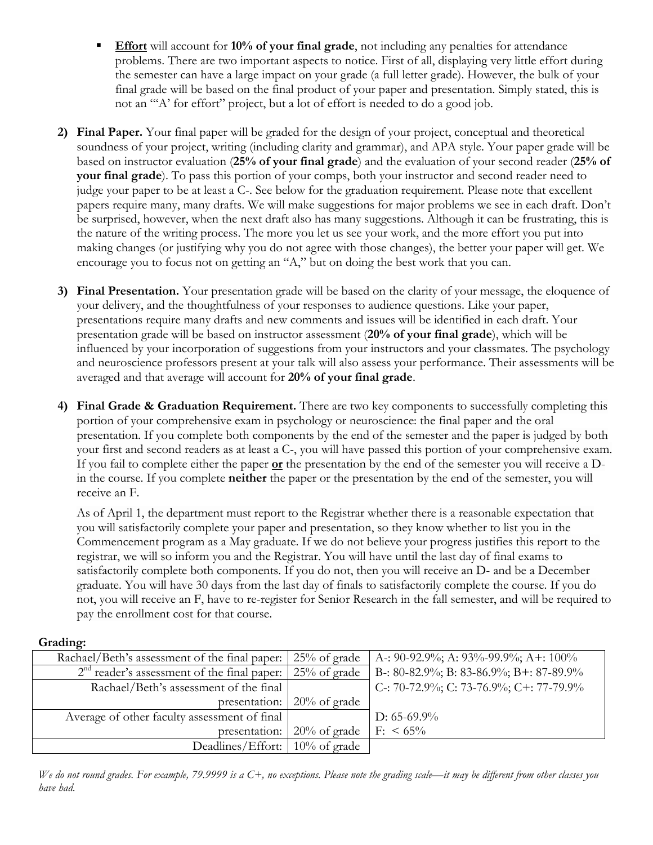- **Effort** will account for **10% of your final grade**, not including any penalties for attendance problems. There are two important aspects to notice. First of all, displaying very little effort during the semester can have a large impact on your grade (a full letter grade). However, the bulk of your final grade will be based on the final product of your paper and presentation. Simply stated, this is not an "'A' for effort" project, but a lot of effort is needed to do a good job.
- **2) Final Paper.** Your final paper will be graded for the design of your project, conceptual and theoretical soundness of your project, writing (including clarity and grammar), and APA style. Your paper grade will be based on instructor evaluation (**25% of your final grade**) and the evaluation of your second reader (**25% of your final grade**). To pass this portion of your comps, both your instructor and second reader need to judge your paper to be at least a C-. See below for the graduation requirement. Please note that excellent papers require many, many drafts. We will make suggestions for major problems we see in each draft. Don't be surprised, however, when the next draft also has many suggestions. Although it can be frustrating, this is the nature of the writing process. The more you let us see your work, and the more effort you put into making changes (or justifying why you do not agree with those changes), the better your paper will get. We encourage you to focus not on getting an "A," but on doing the best work that you can.
- **3) Final Presentation.** Your presentation grade will be based on the clarity of your message, the eloquence of your delivery, and the thoughtfulness of your responses to audience questions. Like your paper, presentations require many drafts and new comments and issues will be identified in each draft. Your presentation grade will be based on instructor assessment (**20% of your final grade**), which will be influenced by your incorporation of suggestions from your instructors and your classmates. The psychology and neuroscience professors present at your talk will also assess your performance. Their assessments will be averaged and that average will account for **20% of your final grade**.
- **4) Final Grade & Graduation Requirement.** There are two key components to successfully completing this portion of your comprehensive exam in psychology or neuroscience: the final paper and the oral presentation. If you complete both components by the end of the semester and the paper is judged by both your first and second readers as at least a C-, you will have passed this portion of your comprehensive exam. If you fail to complete either the paper **or** the presentation by the end of the semester you will receive a Din the course. If you complete **neither** the paper or the presentation by the end of the semester, you will receive an F.

As of April 1, the department must report to the Registrar whether there is a reasonable expectation that you will satisfactorily complete your paper and presentation, so they know whether to list you in the Commencement program as a May graduate. If we do not believe your progress justifies this report to the registrar, we will so inform you and the Registrar. You will have until the last day of final exams to satisfactorily complete both components. If you do not, then you will receive an D- and be a December graduate. You will have 30 days from the last day of finals to satisfactorily complete the course. If you do not, you will receive an F, have to re-register for Senior Research in the fall semester, and will be required to pay the enrollment cost for that course.

| Rachael/Beth's assessment of the final paper: 25% of grade   |                                         | A-: 90-92.9%; A: 93%-99.9%; A+: $100\%$ |
|--------------------------------------------------------------|-----------------------------------------|-----------------------------------------|
| $2nd$ reader's assessment of the final paper:   25% of grade |                                         | B-: 80-82.9%; B: 83-86.9%; B+: 87-89.9% |
| Rachael/Beth's assessment of the final                       |                                         | C-: 70-72.9%; C: 73-76.9%; C+: 77-79.9% |
|                                                              | presentation: $\frac{20\%}{6}$ of grade |                                         |
| Average of other faculty assessment of final                 |                                         | D: $65-69.9\%$                          |
|                                                              | presentation: $\frac{20\%}{6}$ of grade | $F: \ 65\%$                             |
| Deadlines/Effort:   10% of grade                             |                                         |                                         |

**Grading:**

*We do not round grades. For example, 79.9999 is a C+, no exceptions. Please note the grading scale—it may be different from other classes you have had.*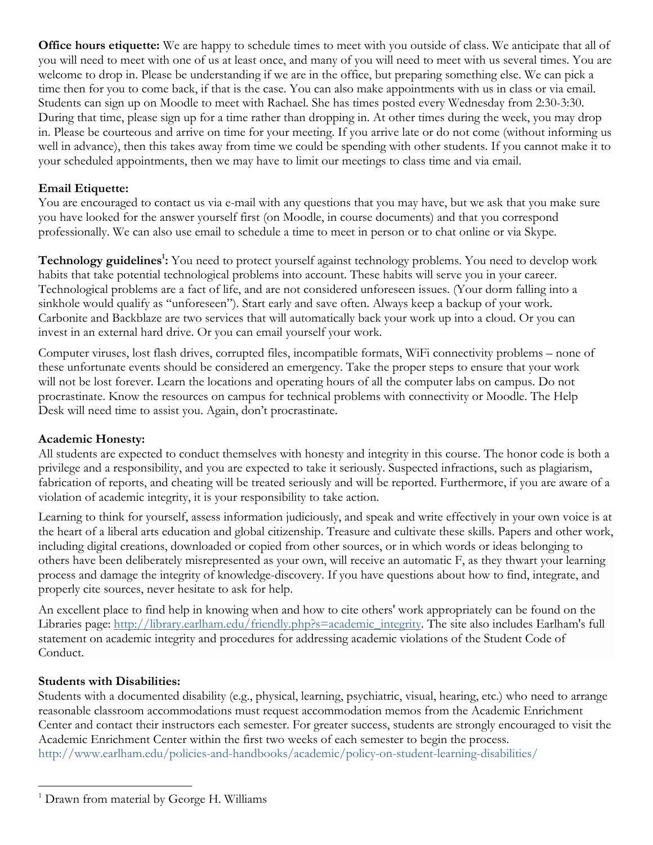**Office hours etiquette:** We are happy to schedule times to meet with you outside of class. We anticipate that all of you will need to meet with one of us at least once, and many of you will need to meet with us several times. You are welcome to drop in. Please be understanding if we are in the office, but preparing something else. We can pick a time then for you to come back, if that is the case. You can also make appointments with us in class or via email. Students can sign up on Moodle to meet with Rachael. She has times posted every Wednesday from 2:30-3:30. During that time, please sign up for a time rather than dropping in. At other times during the week, you may drop in. Please be courteous and arrive on time for your meeting. If you arrive late or do not come (without informing us well in advance), then this takes away from time we could be spending with other students. If you cannot make it to your scheduled appointments, then we may have to limit our meetings to class time and via email.

## **Email Etiquette:**

You are encouraged to contact us via e-mail with any questions that you may have, but we ask that you make sure you have looked for the answer yourself first (on Moodle, in course documents) and that you correspond professionally. We can also use email to schedule a time to meet in person or to chat online or via Skype.

Technology guidelines<sup>1</sup>: You need to protect yourself against technology problems. You need to develop work habits that take potential technological problems into account. These habits will serve you in your career. Technological problems are a fact of life, and are not considered unforeseen issues. (Your dorm falling into a sinkhole would qualify as "unforeseen"). Start early and save often. Always keep a backup of your work. Carbonite and Backblaze are two services that will automatically back your work up into a cloud. Or you can invest in an external hard drive. Or you can email yourself your work.

Computer viruses, lost flash drives, corrupted files, incompatible formats, WiFi connectivity problems – none of these unfortunate events should be considered an emergency. Take the proper steps to ensure that your work will not be lost forever. Learn the locations and operating hours of all the computer labs on campus. Do not procrastinate. Know the resources on campus for technical problems with connectivity or Moodle. The Help Desk will need time to assist you. Again, don't procrastinate.

## **Academic Honesty:**

All students are expected to conduct themselves with honesty and integrity in this course. The honor code is both a privilege and a responsibility, and you are expected to take it seriously. Suspected infractions, such as plagiarism, fabrication of reports, and cheating will be treated seriously and will be reported. Furthermore, if you are aware of a violation of academic integrity, it is your responsibility to take action.

Learning to think for yourself, assess information judiciously, and speak and write effectively in your own voice is at the heart of a liberal arts education and global citizenship. Treasure and cultivate these skills. Papers and other work, including digital creations, downloaded or copied from other sources, or in which words or ideas belonging to others have been deliberately misrepresented as your own, will receive an automatic F, as they thwart your learning process and damage the integrity of knowledge-discovery. If you have questions about how to find, integrate, and properly cite sources, never hesitate to ask for help.

An excellent place to find help in knowing when and how to cite others' work appropriately can be found on the Libraries page: http://library.earlham.edu/friendly.php?s=academic\_integrity. The site also includes Earlham's full statement on academic integrity and procedures for addressing academic violations of the Student Code of Conduct.

#### **Students with Disabilities:**

 $\overline{a}$ 

Students with a documented disability (e.g., physical, learning, psychiatric, visual, hearing, etc.) who need to arrange reasonable classroom accommodations must request accommodation memos from the Academic Enrichment Center and contact their instructors each semester. For greater success, students are strongly encouraged to visit the Academic Enrichment Center within the first two weeks of each semester to begin the process. http://www.earlham.edu/policies-and-handbooks/academic/policy-on-student-learning-disabilities/

<sup>&</sup>lt;sup>1</sup> Drawn from material by George H. Williams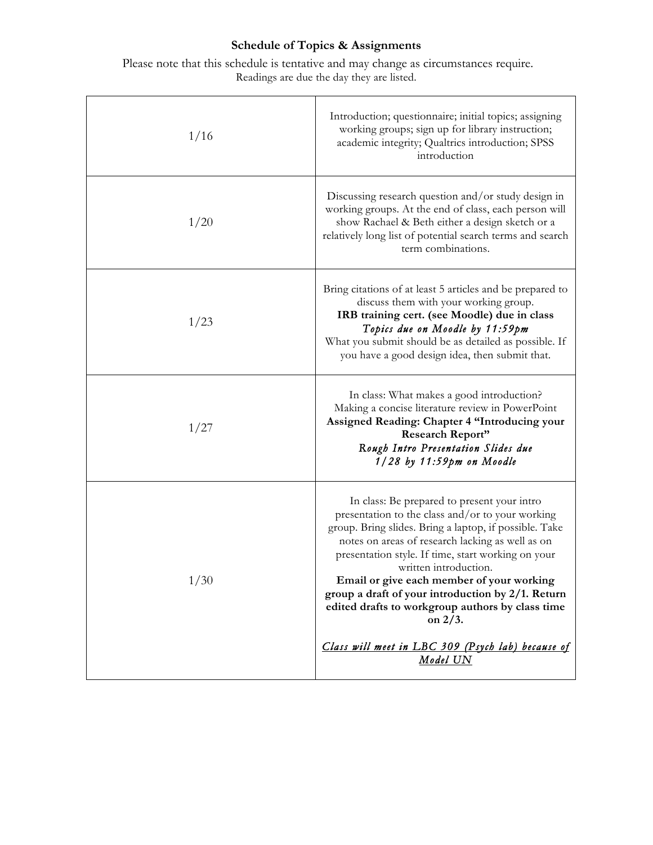# **Schedule of Topics & Assignments**

Please note that this schedule is tentative and may change as circumstances require. Readings are due the day they are listed.

| 1/16 | Introduction; questionnaire; initial topics; assigning<br>working groups; sign up for library instruction;<br>academic integrity; Qualtrics introduction; SPSS<br>introduction                                                                                                                                                                                                                                                                                                                                                    |
|------|-----------------------------------------------------------------------------------------------------------------------------------------------------------------------------------------------------------------------------------------------------------------------------------------------------------------------------------------------------------------------------------------------------------------------------------------------------------------------------------------------------------------------------------|
| 1/20 | Discussing research question and/or study design in<br>working groups. At the end of class, each person will<br>show Rachael & Beth either a design sketch or a<br>relatively long list of potential search terms and search<br>term combinations.                                                                                                                                                                                                                                                                                |
| 1/23 | Bring citations of at least 5 articles and be prepared to<br>discuss them with your working group.<br>IRB training cert. (see Moodle) due in class<br>Topics due on Moodle by 11:59pm<br>What you submit should be as detailed as possible. If<br>you have a good design idea, then submit that.                                                                                                                                                                                                                                  |
| 1/27 | In class: What makes a good introduction?<br>Making a concise literature review in PowerPoint<br>Assigned Reading: Chapter 4 "Introducing your<br><b>Research Report"</b><br>Rough Intro Presentation Slides due<br>$1/28$ by $11:59$ pm on Moodle                                                                                                                                                                                                                                                                                |
| 1/30 | In class: Be prepared to present your intro<br>presentation to the class and/or to your working<br>group. Bring slides. Bring a laptop, if possible. Take<br>notes on areas of research lacking as well as on<br>presentation style. If time, start working on your<br>written introduction.<br>Email or give each member of your working<br>group a draft of your introduction by 2/1. Return<br>edited drafts to workgroup authors by class time<br>on $2/3$ .<br>Class will meet in LBC 309 (Psych lab) because of<br>Model UN |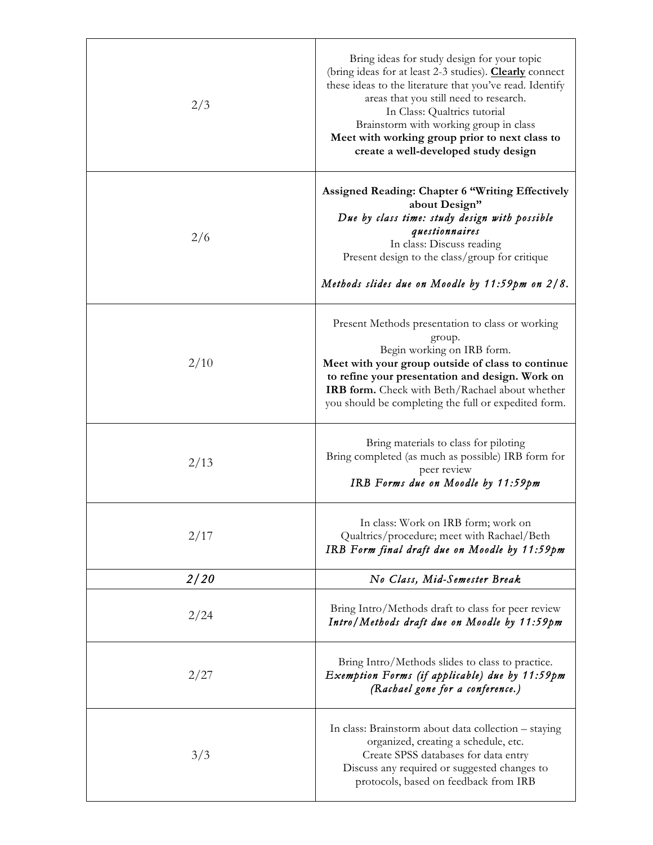| 2/3  | Bring ideas for study design for your topic<br>(bring ideas for at least 2-3 studies). Clearly connect<br>these ideas to the literature that you've read. Identify<br>areas that you still need to research.<br>In Class: Qualtrics tutorial<br>Brainstorm with working group in class<br>Meet with working group prior to next class to<br>create a well-developed study design |
|------|----------------------------------------------------------------------------------------------------------------------------------------------------------------------------------------------------------------------------------------------------------------------------------------------------------------------------------------------------------------------------------|
| 2/6  | <b>Assigned Reading: Chapter 6 "Writing Effectively</b><br>about Design"<br>Due by class time: study design with possible<br>questionnaires<br>In class: Discuss reading<br>Present design to the class/group for critique<br>Methods slides due on Moodle by 11:59pm on 2/8.                                                                                                    |
| 2/10 | Present Methods presentation to class or working<br>group.<br>Begin working on IRB form.<br>Meet with your group outside of class to continue<br>to refine your presentation and design. Work on<br>IRB form. Check with Beth/Rachael about whether<br>you should be completing the full or expedited form.                                                                      |
| 2/13 | Bring materials to class for piloting<br>Bring completed (as much as possible) IRB form for<br>peer review<br>IRB Forms due on Moodle by 11:59pm                                                                                                                                                                                                                                 |
| 2/17 | In class: Work on IRB form; work on<br>Qualtrics/procedure; meet with Rachael/Beth<br>IRB Form final draft due on Moodle by 11:59pm                                                                                                                                                                                                                                              |
| 2/20 | No Class, Mid-Semester Break                                                                                                                                                                                                                                                                                                                                                     |
| 2/24 | Bring Intro/Methods draft to class for peer review<br>Intro/Methods draft due on Moodle by 11:59pm                                                                                                                                                                                                                                                                               |
| 2/27 | Bring Intro/Methods slides to class to practice.<br>Exemption Forms (if applicable) due by 11:59pm<br>(Rachael gone for a conference.)                                                                                                                                                                                                                                           |
| 3/3  | In class: Brainstorm about data collection – staying<br>organized, creating a schedule, etc.<br>Create SPSS databases for data entry<br>Discuss any required or suggested changes to<br>protocols, based on feedback from IRB                                                                                                                                                    |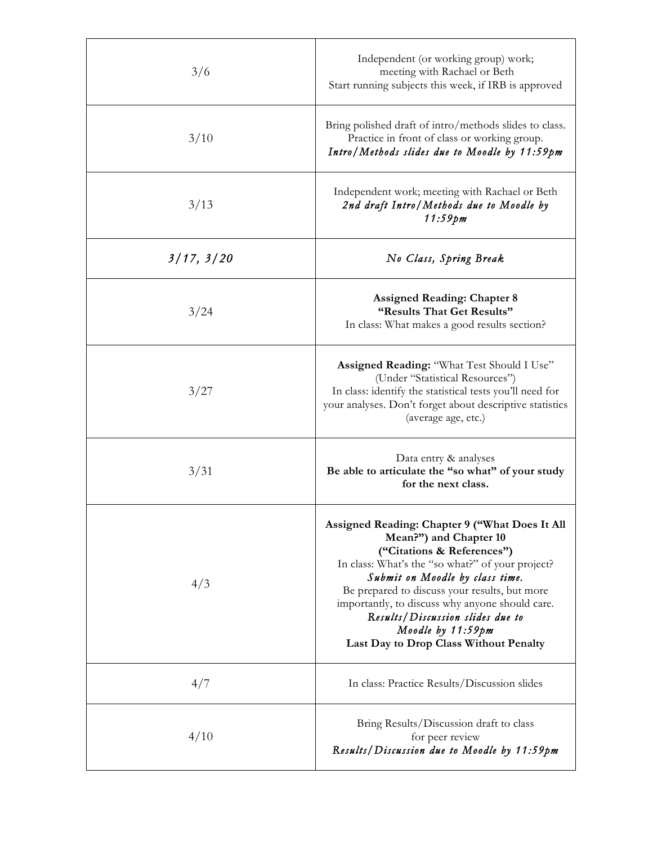| 3/6        | Independent (or working group) work;<br>meeting with Rachael or Beth<br>Start running subjects this week, if IRB is approved                                                                                                                                                                                                                                                                         |
|------------|------------------------------------------------------------------------------------------------------------------------------------------------------------------------------------------------------------------------------------------------------------------------------------------------------------------------------------------------------------------------------------------------------|
| 3/10       | Bring polished draft of intro/methods slides to class.<br>Practice in front of class or working group.<br>Intro/Methods slides due to Moodle by 11:59pm                                                                                                                                                                                                                                              |
| 3/13       | Independent work; meeting with Rachael or Beth<br>2nd draft Intro/Methods due to Moodle by<br>$11:59 \, \text{pm}$                                                                                                                                                                                                                                                                                   |
| 3/17, 3/20 | No Class, Spring Break                                                                                                                                                                                                                                                                                                                                                                               |
| 3/24       | <b>Assigned Reading: Chapter 8</b><br>"Results That Get Results"<br>In class: What makes a good results section?                                                                                                                                                                                                                                                                                     |
| 3/27       | Assigned Reading: "What Test Should I Use"<br>(Under "Statistical Resources")<br>In class: identify the statistical tests you'll need for<br>your analyses. Don't forget about descriptive statistics<br>(average age, etc.)                                                                                                                                                                         |
| 3/31       | Data entry & analyses<br>Be able to articulate the "so what" of your study<br>for the next class.                                                                                                                                                                                                                                                                                                    |
| 4/3        | Assigned Reading: Chapter 9 ("What Does It All<br>Mean?") and Chapter 10<br>("Citations & References")<br>In class: What's the "so what?" of your project?<br>Submit on Moodle by class time.<br>Be prepared to discuss your results, but more<br>importantly, to discuss why anyone should care.<br>Results/Discussion slides due to<br>Moodle by 11:59pm<br>Last Day to Drop Class Without Penalty |
| 4/7        | In class: Practice Results/Discussion slides                                                                                                                                                                                                                                                                                                                                                         |
| 4/10       | Bring Results/Discussion draft to class<br>for peer review<br>Results/Discussion due to Moodle by 11:59pm                                                                                                                                                                                                                                                                                            |